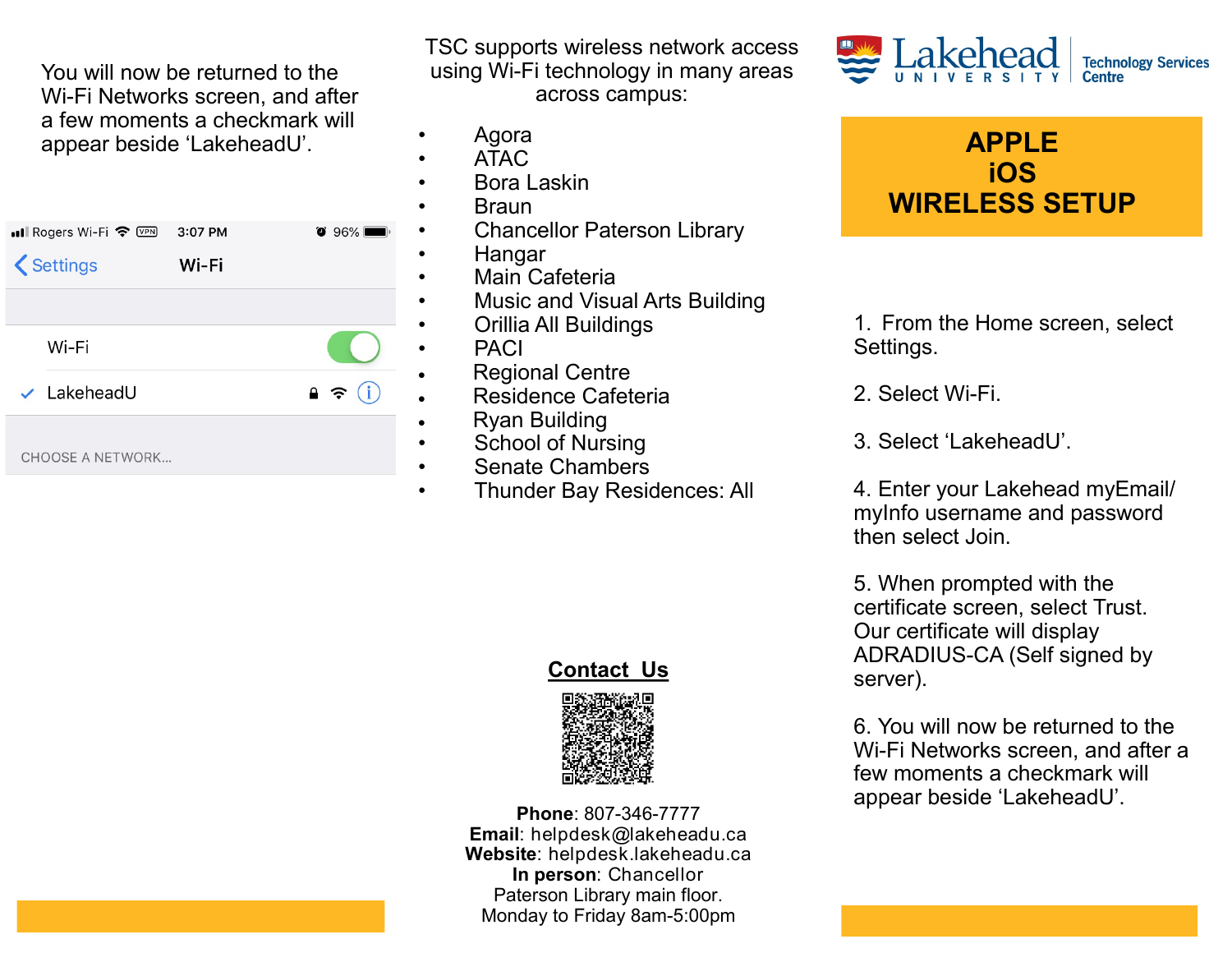You will now be returned to the Wi-Fi Networks screen, and after a few moments a checkmark will appear beside 'LakeheadU'.

| $\bullet$ Ill Rogers Wi-Fi $\hat{\bullet}$ WPN       | 3:07 PM | $\bullet$ 96%        |
|------------------------------------------------------|---------|----------------------|
| <settings< td=""><td>Wi-Fi</td><td></td></settings<> | Wi-Fi   |                      |
|                                                      |         |                      |
| Wi-Fi                                                |         |                      |
| $\checkmark$ LakeheadU                               |         | (i)<br>$\rightarrow$ |
| <b>CHOOSE A NETWORK</b>                              |         |                      |

TSC supports wireless network access using Wi-Fi technology in many areas across campus:

- Agora
- ATAC
- Bora Laskin
- Braun
- Chancellor Paterson Library
- Hangar
- Main Cafeteria
- Music and Visual Arts Building
- Orillia All Buildings
- PACI
- Regional Centre
	- Residence Cafeteria
	- Ryan Building
	- School of Nursing
	- Senate Chambers
- Thunder Bay Residences: All

## **Contact Us**



**Phone**: 807-346-7777 **Email**: helpdesk@lakeheadu.ca **Website**: helpdesk.lakeheadu.ca **In person**: Chancellor Paterson Library main floor. Monday to Friday 8am-5:00pm





1. From the Home screen, select Settings.

2. Select Wi-Fi.

3. Select 'LakeheadU'.

4. Enter your Lakehead myEmail/ myInfo username and password then select Join.

5. When prompted with the certificate screen, select Trust. Our certificate will display ADRADIUS-CA (Self signed by server).

6. You will now be returned to the Wi-Fi Networks screen, and after a few moments a checkmark will appear beside 'LakeheadU'.